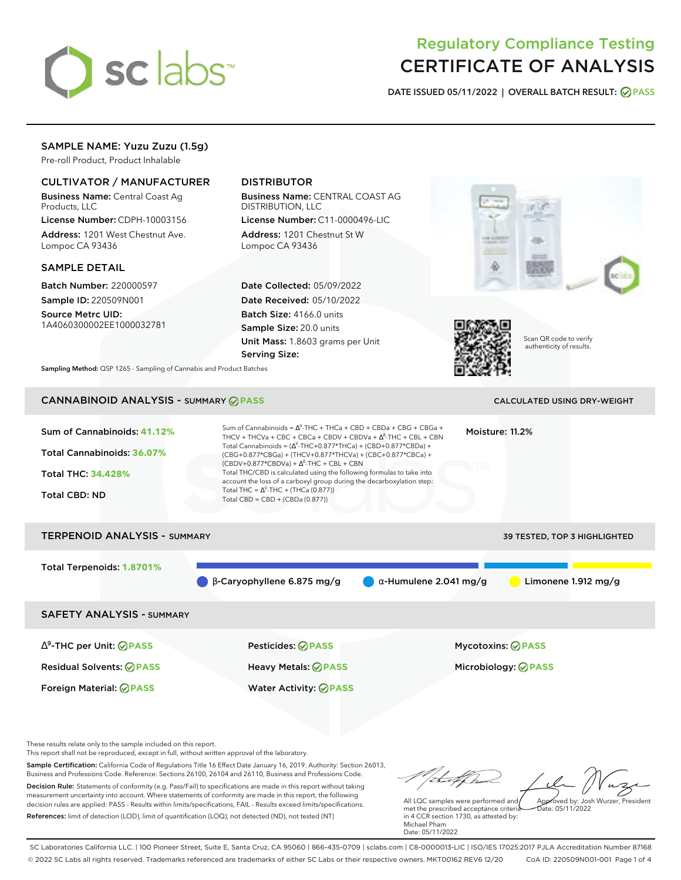

# Regulatory Compliance Testing CERTIFICATE OF ANALYSIS

**DATE ISSUED 05/11/2022 | OVERALL BATCH RESULT: PASS**

## SAMPLE NAME: Yuzu Zuzu (1.5g)

Pre-roll Product, Product Inhalable

### CULTIVATOR / MANUFACTURER

Business Name: Central Coast Ag Products, LLC

License Number: CDPH-10003156 Address: 1201 West Chestnut Ave. Lompoc CA 93436

#### SAMPLE DETAIL

Batch Number: 220000597 Sample ID: 220509N001

Source Metrc UID: 1A4060300002EE1000032781

# DISTRIBUTOR

Business Name: CENTRAL COAST AG DISTRIBUTION, LLC License Number: C11-0000496-LIC

Address: 1201 Chestnut St W Lompoc CA 93436

Date Collected: 05/09/2022 Date Received: 05/10/2022 Batch Size: 4166.0 units Sample Size: 20.0 units Unit Mass: 1.8603 grams per Unit Serving Size:





Scan QR code to verify authenticity of results.

**Sampling Method:** QSP 1265 - Sampling of Cannabis and Product Batches

# CANNABINOID ANALYSIS - SUMMARY **PASS** CALCULATED USING DRY-WEIGHT

| Sum of Cannabinoids: 41.12%<br>Total Cannabinoids: 36.07%<br><b>Total THC: 34.428%</b><br><b>Total CBD: ND</b> | Sum of Cannabinoids = $\Delta^9$ -THC + THCa + CBD + CBDa + CBG + CBGa +<br>Moisture: 11.2%<br>THCV + THCVa + CBC + CBCa + CBDV + CBDVa + $\Delta^8$ -THC + CBL + CBN<br>Total Cannabinoids = $(\Delta^9$ -THC+0.877*THCa) + (CBD+0.877*CBDa) +<br>(CBG+0.877*CBGa) + (THCV+0.877*THCVa) + (CBC+0.877*CBCa) +<br>$(CBDV+0.877*CBDVa) + \Delta^8$ -THC + CBL + CBN<br>Total THC/CBD is calculated using the following formulas to take into<br>account the loss of a carboxyl group during the decarboxylation step:<br>Total THC = $\Delta^9$ -THC + (THCa (0.877))<br>Total CBD = CBD + (CBDa (0.877)) |                               |                               |  |  |  |
|----------------------------------------------------------------------------------------------------------------|---------------------------------------------------------------------------------------------------------------------------------------------------------------------------------------------------------------------------------------------------------------------------------------------------------------------------------------------------------------------------------------------------------------------------------------------------------------------------------------------------------------------------------------------------------------------------------------------------------|-------------------------------|-------------------------------|--|--|--|
| <b>TERPENOID ANALYSIS - SUMMARY</b><br>39 TESTED, TOP 3 HIGHLIGHTED                                            |                                                                                                                                                                                                                                                                                                                                                                                                                                                                                                                                                                                                         |                               |                               |  |  |  |
| Total Terpenoids: 1.8701%                                                                                      | $\beta$ -Caryophyllene 6.875 mg/g                                                                                                                                                                                                                                                                                                                                                                                                                                                                                                                                                                       | $\alpha$ -Humulene 2.041 mg/g | Limonene $1.912 \text{ mg/g}$ |  |  |  |
| <b>SAFETY ANALYSIS - SUMMARY</b>                                                                               |                                                                                                                                                                                                                                                                                                                                                                                                                                                                                                                                                                                                         |                               |                               |  |  |  |
| $\Delta^9$ -THC per Unit: $\oslash$ PASS                                                                       | Pesticides: ⊘PASS                                                                                                                                                                                                                                                                                                                                                                                                                                                                                                                                                                                       |                               | <b>Mycotoxins: ⊘PASS</b>      |  |  |  |
| <b>Residual Solvents: ⊘PASS</b>                                                                                | Heavy Metals: @PASS                                                                                                                                                                                                                                                                                                                                                                                                                                                                                                                                                                                     |                               | Microbiology: @PASS           |  |  |  |

These results relate only to the sample included on this report.

This report shall not be reproduced, except in full, without written approval of the laboratory.

Sample Certification: California Code of Regulations Title 16 Effect Date January 16, 2019. Authority: Section 26013, Business and Professions Code. Reference: Sections 26100, 26104 and 26110, Business and Professions Code. Decision Rule: Statements of conformity (e.g. Pass/Fail) to specifications are made in this report without taking measurement uncertainty into account. Where statements of conformity are made in this report, the following decision rules are applied: PASS - Results within limits/specifications, FAIL - Results exceed limits/specifications.

Foreign Material: **PASS** Water Activity: **PASS**

References: limit of detection (LOD), limit of quantification (LOQ), not detected (ND), not tested (NT)

talkha Approved by: Josh Wurzer, President

Date: 05/11/2022

All LQC samples were performed and met the prescribed acceptance criteria in 4 CCR section 1730, as attested by: Michael Pham Date: 05/11/2022

SC Laboratories California LLC. | 100 Pioneer Street, Suite E, Santa Cruz, CA 95060 | 866-435-0709 | sclabs.com | C8-0000013-LIC | ISO/IES 17025:2017 PJLA Accreditation Number 87168 © 2022 SC Labs all rights reserved. Trademarks referenced are trademarks of either SC Labs or their respective owners. MKT00162 REV6 12/20 CoA ID: 220509N001-001 Page 1 of 4